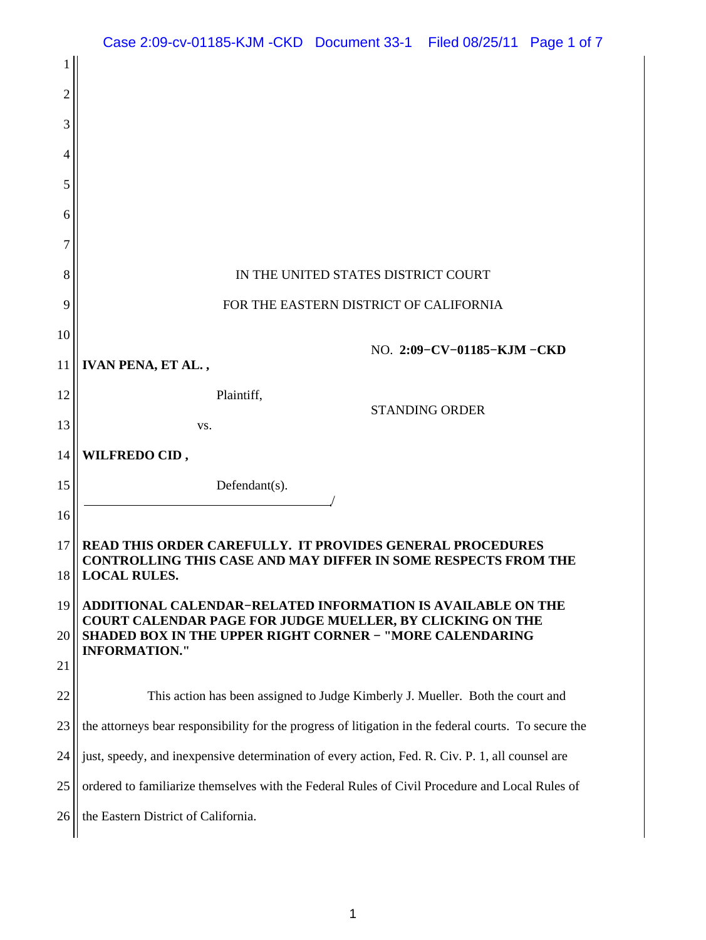|                | Case 2:09-cv-01185-KJM -CKD Document 33-1 Filed 08/25/11 Page 1 of 7                                                                |  |  |  |  |  |  |  |  |
|----------------|-------------------------------------------------------------------------------------------------------------------------------------|--|--|--|--|--|--|--|--|
| 1              |                                                                                                                                     |  |  |  |  |  |  |  |  |
| $\overline{2}$ |                                                                                                                                     |  |  |  |  |  |  |  |  |
| 3              |                                                                                                                                     |  |  |  |  |  |  |  |  |
| 4              |                                                                                                                                     |  |  |  |  |  |  |  |  |
| 5              |                                                                                                                                     |  |  |  |  |  |  |  |  |
| 6              |                                                                                                                                     |  |  |  |  |  |  |  |  |
| 7              |                                                                                                                                     |  |  |  |  |  |  |  |  |
| 8              | IN THE UNITED STATES DISTRICT COURT                                                                                                 |  |  |  |  |  |  |  |  |
| 9              | FOR THE EASTERN DISTRICT OF CALIFORNIA                                                                                              |  |  |  |  |  |  |  |  |
| 10             |                                                                                                                                     |  |  |  |  |  |  |  |  |
| 11             | NO. 2:09-CV-01185-KJM-CKD<br>IVAN PENA, ET AL.,                                                                                     |  |  |  |  |  |  |  |  |
| 12             | Plaintiff,                                                                                                                          |  |  |  |  |  |  |  |  |
| 13             | <b>STANDING ORDER</b><br>VS.                                                                                                        |  |  |  |  |  |  |  |  |
| 14             | WILFREDO CID,                                                                                                                       |  |  |  |  |  |  |  |  |
| 15             | Defendant(s).                                                                                                                       |  |  |  |  |  |  |  |  |
| 16             |                                                                                                                                     |  |  |  |  |  |  |  |  |
| 17             | <b>READ THIS ORDER CAREFULLY. IT PROVIDES GENERAL PROCEDURES</b>                                                                    |  |  |  |  |  |  |  |  |
| 18             | CONTROLLING THIS CASE AND MAY DIFFER IN SOME RESPECTS FROM THE<br><b>LOCAL RULES.</b>                                               |  |  |  |  |  |  |  |  |
| 19             | <b>ADDITIONAL CALENDAR-RELATED INFORMATION IS AVAILABLE ON THE</b>                                                                  |  |  |  |  |  |  |  |  |
| 20             | <b>COURT CALENDAR PAGE FOR JUDGE MUELLER, BY CLICKING ON THE</b><br><b>SHADED BOX IN THE UPPER RIGHT CORNER - "MORE CALENDARING</b> |  |  |  |  |  |  |  |  |
| 21             | <b>INFORMATION."</b>                                                                                                                |  |  |  |  |  |  |  |  |
| 22             | This action has been assigned to Judge Kimberly J. Mueller. Both the court and                                                      |  |  |  |  |  |  |  |  |
| 23             | the attorneys bear responsibility for the progress of litigation in the federal courts. To secure the                               |  |  |  |  |  |  |  |  |
| 24             | just, speedy, and inexpensive determination of every action, Fed. R. Civ. P. 1, all counsel are                                     |  |  |  |  |  |  |  |  |
| 25             | ordered to familiarize themselves with the Federal Rules of Civil Procedure and Local Rules of                                      |  |  |  |  |  |  |  |  |
| 26             | the Eastern District of California.                                                                                                 |  |  |  |  |  |  |  |  |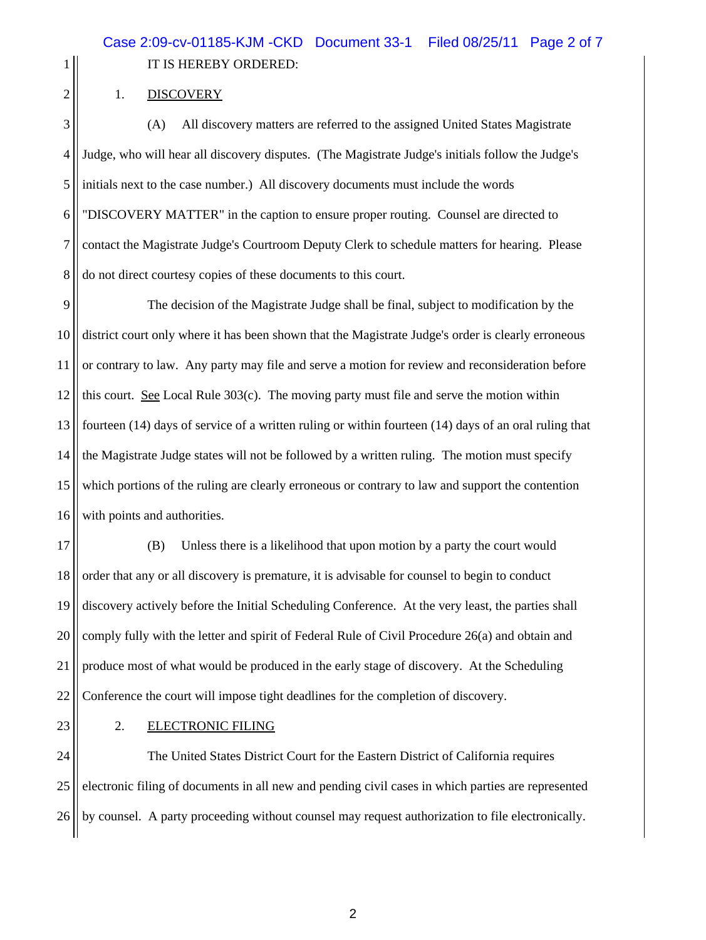1 || IT IS HEREBY ORDERED:

## $2 \parallel$  1. DISCOVERY

3 (A) All discovery matters are referred to the assigned United States Magistrate 4 Judge, who will hear all discovery disputes. (The Magistrate Judge's initials follow the Judge's 5 initials next to the case number.) All discovery documents must include the words 6 "DISCOVERY MATTER" in the caption to ensure proper routing. Counsel are directed to 7 contact the Magistrate Judge's Courtroom Deputy Clerk to schedule matters for hearing. Please 8 do not direct courtesy copies of these documents to this court.

9 The decision of the Magistrate Judge shall be final, subject to modification by the 10 district court only where it has been shown that the Magistrate Judge's order is clearly erroneous 11 or contrary to law. Any party may file and serve a motion for review and reconsideration before 12 this court. See Local Rule 303(c). The moving party must file and serve the motion within 13 fourteen (14) days of service of a written ruling or within fourteen (14) days of an oral ruling that 14 the Magistrate Judge states will not be followed by a written ruling. The motion must specify 15 which portions of the ruling are clearly erroneous or contrary to law and support the contention 16 | with points and authorities.

17 (B) Unless there is a likelihood that upon motion by a party the court would 18 order that any or all discovery is premature, it is advisable for counsel to begin to conduct 19 discovery actively before the Initial Scheduling Conference. At the very least, the parties shall  $20$  comply fully with the letter and spirit of Federal Rule of Civil Procedure 26(a) and obtain and 21 produce most of what would be produced in the early stage of discovery. At the Scheduling 22 Conference the court will impose tight deadlines for the completion of discovery.

## 23 | 2. ELECTRONIC FILING

24 The United States District Court for the Eastern District of California requires 25 electronic filing of documents in all new and pending civil cases in which parties are represented 26 by counsel. A party proceeding without counsel may request authorization to file electronically.

2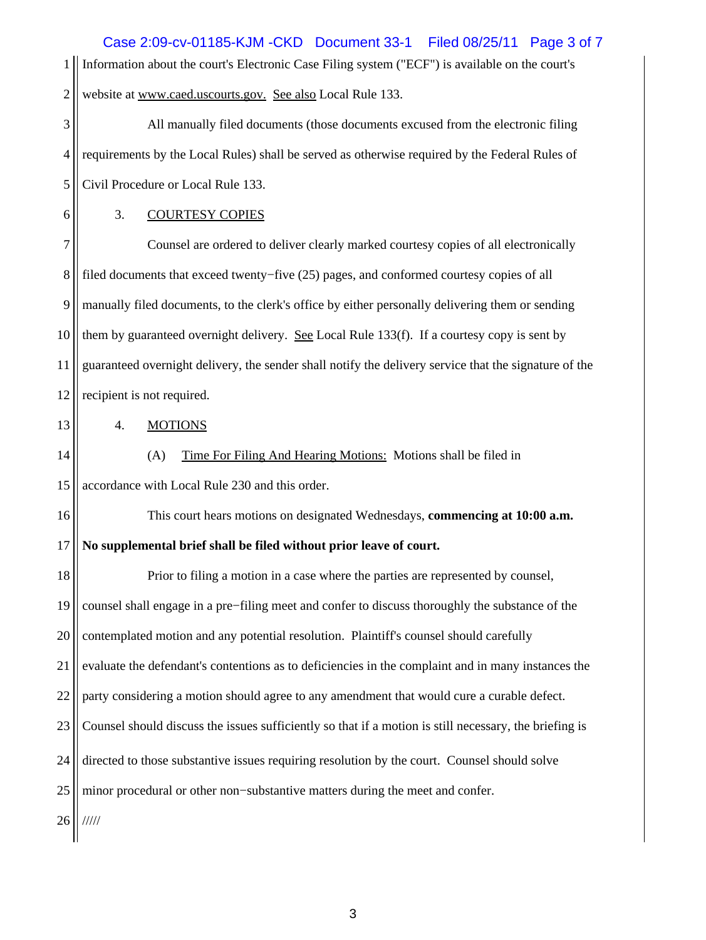1 Information about the court's Electronic Case Filing system ("ECF") is available on the court's 2. website at [www.caed.uscourts.gov.](http://www.caed.uscourts.gov) See also Local Rule 133. 3 All manually filed documents (those documents excused from the electronic filing 4. The requirements by the Local Rules) shall be served as otherwise required by the Federal Rules of 5 Civil Procedure or Local Rule 133. 6 3. COURTESY COPIES 7 Counsel are ordered to deliver clearly marked courtesy copies of all electronically 8 filed documents that exceed twenty−five (25) pages, and conformed courtesy copies of all 9 manually filed documents, to the clerk's office by either personally delivering them or sending 10 them by guaranteed overnight delivery. See Local Rule 133(f). If a courtesy copy is sent by 11 guaranteed overnight delivery, the sender shall notify the delivery service that the signature of the 12 | recipient is not required. 13 4. MOTIONS 14 (A) Time For Filing And Hearing Motions: Motions shall be filed in 15 | accordance with Local Rule 230 and this order. 16 This court hears motions on designated Wednesdays, **commencing at 10:00 a.m.**  17 **No supplemental brief shall be filed without prior leave of court.** 18 Prior to filing a motion in a case where the parties are represented by counsel, 19 counsel shall engage in a pre−filing meet and confer to discuss thoroughly the substance of the 20 contemplated motion and any potential resolution. Plaintiff's counsel should carefully 21 evaluate the defendant's contentions as to deficiencies in the complaint and in many instances the 22 || party considering a motion should agree to any amendment that would cure a curable defect. 23 Counsel should discuss the issues sufficiently so that if a motion is still necessary, the briefing is 24 directed to those substantive issues requiring resolution by the court. Counsel should solve 25 minor procedural or other non–substantive matters during the meet and confer. 26 ///// Case 2:09-cv-01185-KJM -CKD Document 33-1 Filed 08/25/11 Page 3 of 7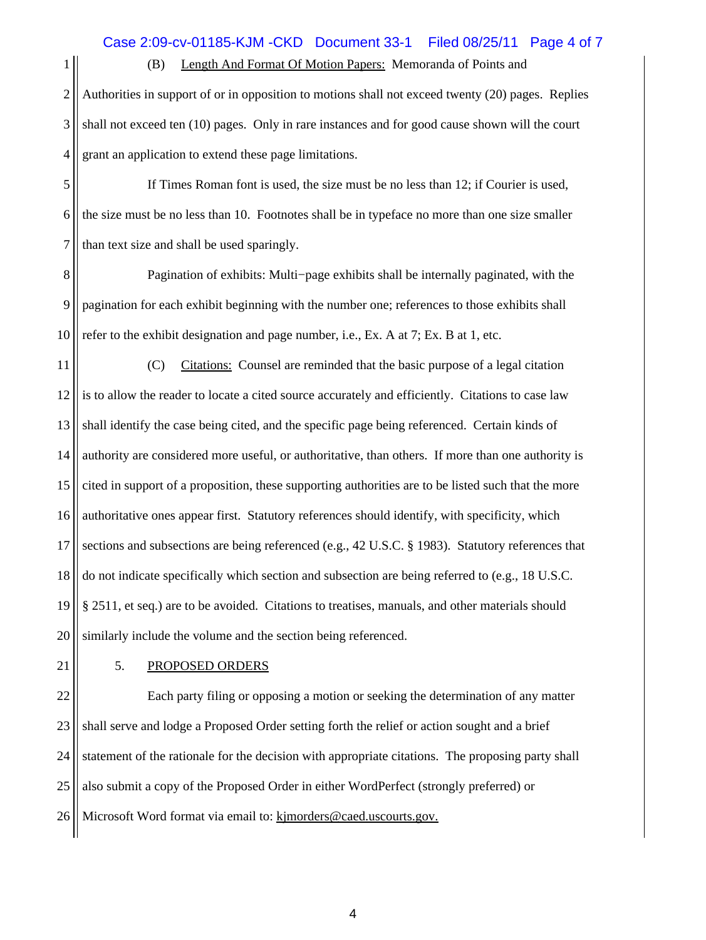1 (B) Length And Format Of Motion Papers: Memoranda of Points and

2 Authorities in support of or in opposition to motions shall not exceed twenty (20) pages. Replies 3 shall not exceed ten (10) pages. Only in rare instances and for good cause shown will the court 4 | grant an application to extend these page limitations.

5 If Times Roman font is used, the size must be no less than 12; if Courier is used,  $6$  the size must be no less than 10. Footnotes shall be in typeface no more than one size smaller  $7$  || than text size and shall be used sparingly.

8 Pagination of exhibits: Multi−page exhibits shall be internally paginated, with the 9 | pagination for each exhibit beginning with the number one; references to those exhibits shall 10  $\parallel$  refer to the exhibit designation and page number, i.e., Ex. A at 7; Ex. B at 1, etc.

11 (C) Citations: Counsel are reminded that the basic purpose of a legal citation 12 is to allow the reader to locate a cited source accurately and efficiently. Citations to case law 13 shall identify the case being cited, and the specific page being referenced. Certain kinds of 14 authority are considered more useful, or authoritative, than others. If more than one authority is 15 cited in support of a proposition, these supporting authorities are to be listed such that the more 16 authoritative ones appear first. Statutory references should identify, with specificity, which 17 Sections and subsections are being referenced (e.g., 42 U.S.C. § 1983). Statutory references that 18 do not indicate specifically which section and subsection are being referred to (e.g., 18 U.S.C. 19 § 2511, et seq.) are to be avoided. Citations to treatises, manuals, and other materials should 20 Similarly include the volume and the section being referenced.

## 21 | 5. PROPOSED ORDERS

22 Each party filing or opposing a motion or seeking the determination of any matter 23 Shall serve and lodge a Proposed Order setting forth the relief or action sought and a brief 24 Statement of the rationale for the decision with appropriate citations. The proposing party shall 25 also submit a copy of the Proposed Order in either WordPerfect (strongly preferred) or 26 | Microsoft Word format via email to: [kjmorders@caed.uscourts.gov.](mailto:kjmorders@caed.uscourts.gov)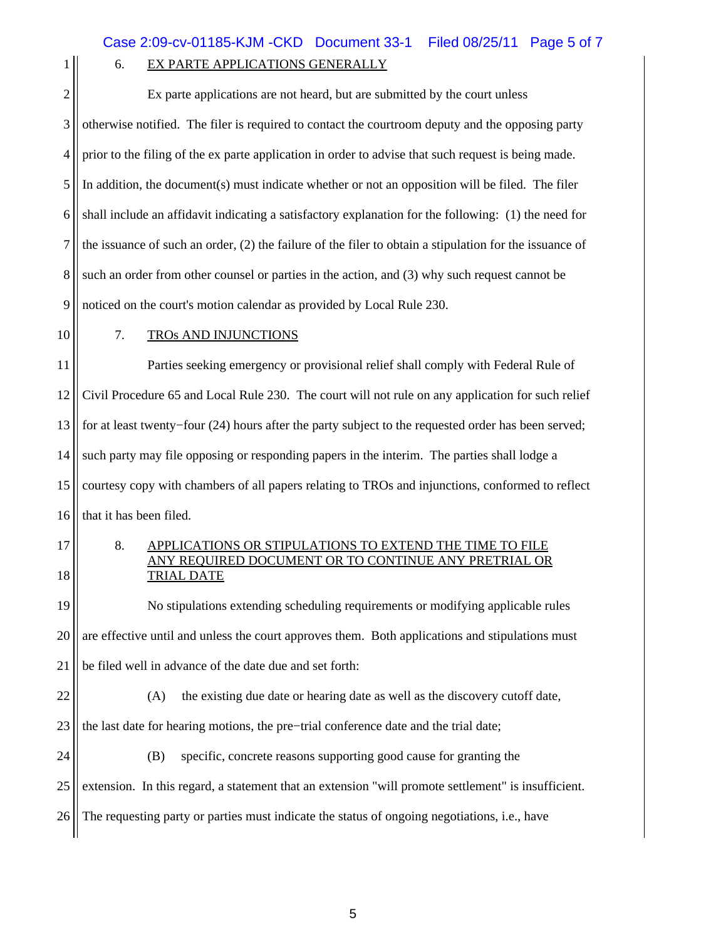## 1 6. EX PARTE APPLICATIONS GENERALLY

| $\overline{c}$ | Ex parte applications are not heard, but are submitted by the court unless                                                   |  |  |  |  |  |  |
|----------------|------------------------------------------------------------------------------------------------------------------------------|--|--|--|--|--|--|
| 3              | otherwise notified. The filer is required to contact the courtroom deputy and the opposing party                             |  |  |  |  |  |  |
| $\overline{4}$ | prior to the filing of the ex parte application in order to advise that such request is being made.                          |  |  |  |  |  |  |
| 5              | In addition, the document(s) must indicate whether or not an opposition will be filed. The filer                             |  |  |  |  |  |  |
| 6              | shall include an affidavit indicating a satisfactory explanation for the following: (1) the need for                         |  |  |  |  |  |  |
| 7              | the issuance of such an order, $(2)$ the failure of the filer to obtain a stipulation for the issuance of                    |  |  |  |  |  |  |
| 8              | such an order from other counsel or parties in the action, and (3) why such request cannot be                                |  |  |  |  |  |  |
| 9              | noticed on the court's motion calendar as provided by Local Rule 230.                                                        |  |  |  |  |  |  |
| 10             | 7.<br><b>TROS AND INJUNCTIONS</b>                                                                                            |  |  |  |  |  |  |
| 11             | Parties seeking emergency or provisional relief shall comply with Federal Rule of                                            |  |  |  |  |  |  |
| 12             | Civil Procedure 65 and Local Rule 230. The court will not rule on any application for such relief                            |  |  |  |  |  |  |
| 13             | for at least twenty-four (24) hours after the party subject to the requested order has been served;                          |  |  |  |  |  |  |
| 14             | such party may file opposing or responding papers in the interim. The parties shall lodge a                                  |  |  |  |  |  |  |
| 15             | courtesy copy with chambers of all papers relating to TROs and injunctions, conformed to reflect                             |  |  |  |  |  |  |
| 16             | that it has been filed.                                                                                                      |  |  |  |  |  |  |
| 17             | 8.<br>APPLICATIONS OR STIPULATIONS TO EXTEND THE TIME TO FILE<br><u>ANY REOUIRED DOCUMENT OR TO CONTINUE ANY PRETRIAL OR</u> |  |  |  |  |  |  |
| 18             | <b>TRIAL DATE</b>                                                                                                            |  |  |  |  |  |  |
| 19             | No stipulations extending scheduling requirements or modifying applicable rules                                              |  |  |  |  |  |  |
| 20             | are effective until and unless the court approves them. Both applications and stipulations must                              |  |  |  |  |  |  |
| 21             | be filed well in advance of the date due and set forth:                                                                      |  |  |  |  |  |  |
| 22             | the existing due date or hearing date as well as the discovery cutoff date,<br>(A)                                           |  |  |  |  |  |  |
| 23             | the last date for hearing motions, the pre-trial conference date and the trial date;                                         |  |  |  |  |  |  |
| 24             | (B)<br>specific, concrete reasons supporting good cause for granting the                                                     |  |  |  |  |  |  |
| 25             | extension. In this regard, a statement that an extension "will promote settlement" is insufficient.                          |  |  |  |  |  |  |
| 26             | The requesting party or parties must indicate the status of ongoing negotiations, i.e., have                                 |  |  |  |  |  |  |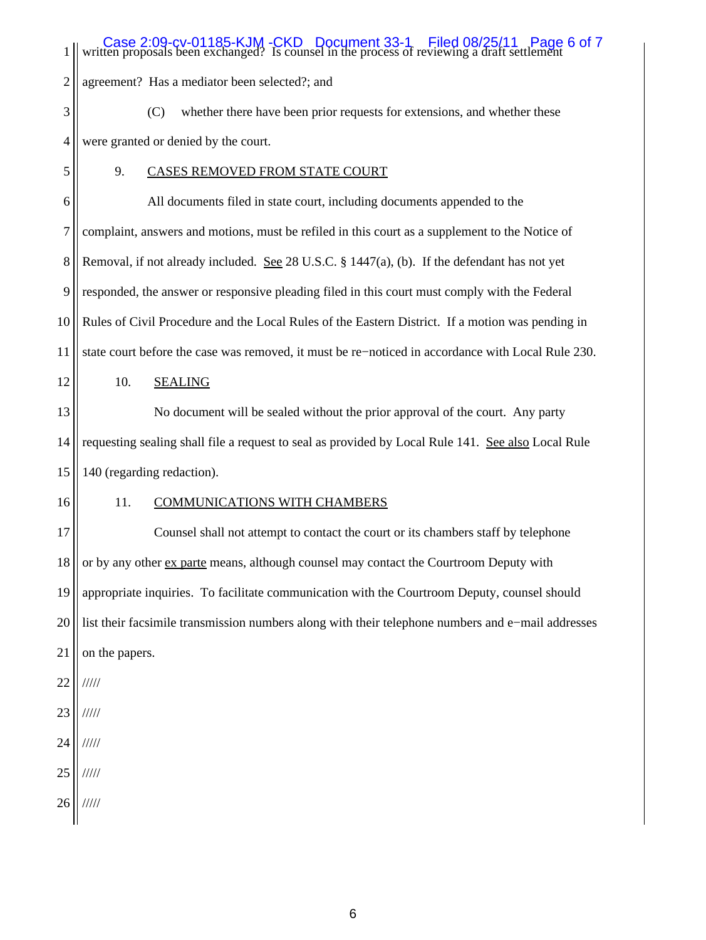| 1              | Case 2:09-cv-01185-KJM-CKD Document 33-1 Filed 08/25/11 Page 6 of 7<br>ten proposals been exchanged? Is counsel in the process of reviewing a draft settlement |  |  |  |  |  |
|----------------|----------------------------------------------------------------------------------------------------------------------------------------------------------------|--|--|--|--|--|
| $\overline{c}$ | agreement? Has a mediator been selected?; and                                                                                                                  |  |  |  |  |  |
| 3              | whether there have been prior requests for extensions, and whether these<br>(C)                                                                                |  |  |  |  |  |
| 4              | were granted or denied by the court.                                                                                                                           |  |  |  |  |  |
| 5              | 9.<br><b>CASES REMOVED FROM STATE COURT</b>                                                                                                                    |  |  |  |  |  |
| 6              | All documents filed in state court, including documents appended to the                                                                                        |  |  |  |  |  |
| 7              | complaint, answers and motions, must be refiled in this court as a supplement to the Notice of                                                                 |  |  |  |  |  |
| 8              | Removal, if not already included. See 28 U.S.C. § 1447(a), (b). If the defendant has not yet                                                                   |  |  |  |  |  |
| 9              | responded, the answer or responsive pleading filed in this court must comply with the Federal                                                                  |  |  |  |  |  |
| 10             | Rules of Civil Procedure and the Local Rules of the Eastern District. If a motion was pending in                                                               |  |  |  |  |  |
| 11             | state court before the case was removed, it must be re-noticed in accordance with Local Rule 230.                                                              |  |  |  |  |  |
| 12             | 10.<br><b>SEALING</b>                                                                                                                                          |  |  |  |  |  |
| 13             | No document will be sealed without the prior approval of the court. Any party                                                                                  |  |  |  |  |  |
| 14             | requesting sealing shall file a request to seal as provided by Local Rule 141. See also Local Rule                                                             |  |  |  |  |  |
| 15             | 140 (regarding redaction).                                                                                                                                     |  |  |  |  |  |
| 16             | 11.<br><b>COMMUNICATIONS WITH CHAMBERS</b>                                                                                                                     |  |  |  |  |  |
| 17             | Counsel shall not attempt to contact the court or its chambers staff by telephone                                                                              |  |  |  |  |  |
| 18             | or by any other ex parte means, although counsel may contact the Courtroom Deputy with                                                                         |  |  |  |  |  |
| 19             | appropriate inquiries. To facilitate communication with the Courtroom Deputy, counsel should                                                                   |  |  |  |  |  |
| 20             | list their facsimile transmission numbers along with their telephone numbers and e-mail addresses                                                              |  |  |  |  |  |
| 21             | on the papers.                                                                                                                                                 |  |  |  |  |  |
| 22             | 11111                                                                                                                                                          |  |  |  |  |  |
| 23             | /////                                                                                                                                                          |  |  |  |  |  |
| 24             | /////                                                                                                                                                          |  |  |  |  |  |
| 25             | 11111                                                                                                                                                          |  |  |  |  |  |
| 26             | 11111                                                                                                                                                          |  |  |  |  |  |